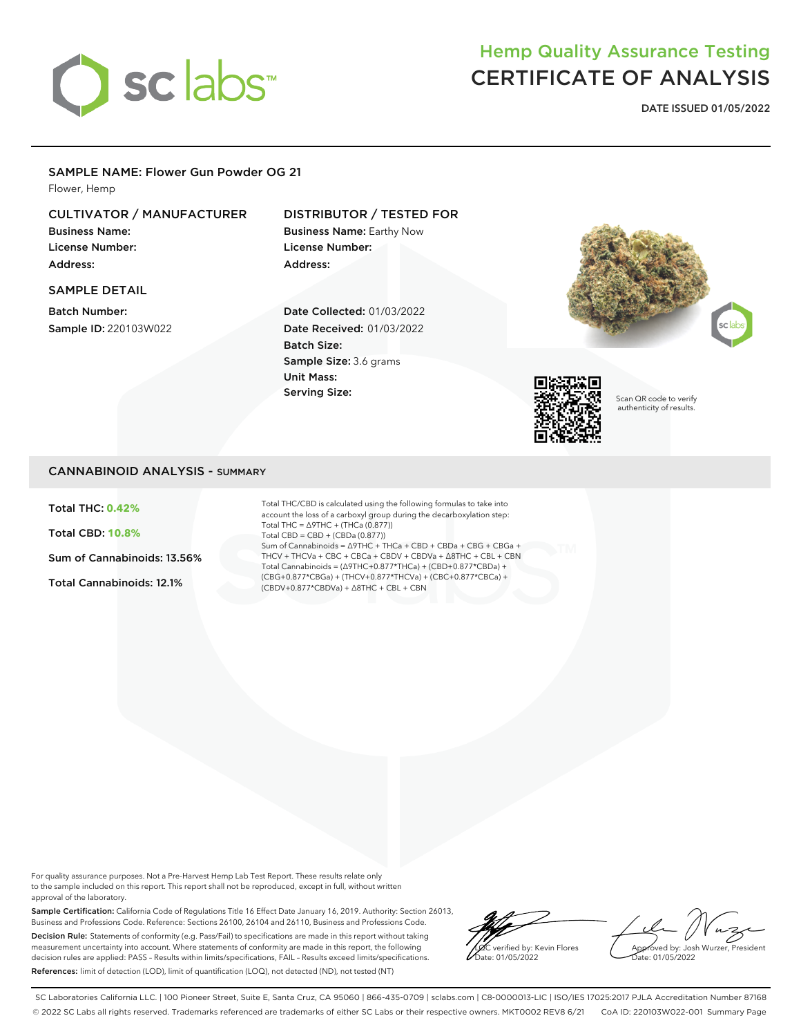

# Hemp Quality Assurance Testing CERTIFICATE OF ANALYSIS

**DATE ISSUED 01/05/2022**

### SAMPLE NAME: Flower Gun Powder OG 21

Flower, Hemp

### CULTIVATOR / MANUFACTURER

Business Name: License Number: Address:

# SAMPLE DETAIL

Batch Number: Sample ID: 220103W022

### DISTRIBUTOR / TESTED FOR

Business Name: Earthy Now License Number: Address:

Date Collected: 01/03/2022 Date Received: 01/03/2022 Batch Size: Sample Size: 3.6 grams Unit Mass: Serving Size:





Scan QR code to verify authenticity of results.

### CANNABINOID ANALYSIS - SUMMARY

Total THC: **0.42%**

Total CBD: **10.8%**

Sum of Cannabinoids: 13.56%

Total Cannabinoids: 12.1%

Total THC/CBD is calculated using the following formulas to take into account the loss of a carboxyl group during the decarboxylation step: Total THC = ∆9THC + (THCa (0.877)) Total CBD = CBD + (CBDa (0.877)) Sum of Cannabinoids = ∆9THC + THCa + CBD + CBDa + CBG + CBGa + THCV + THCVa + CBC + CBCa + CBDV + CBDVa + ∆8THC + CBL + CBN Total Cannabinoids = (∆9THC+0.877\*THCa) + (CBD+0.877\*CBDa) + (CBG+0.877\*CBGa) + (THCV+0.877\*THCVa) + (CBC+0.877\*CBCa) + (CBDV+0.877\*CBDVa) + ∆8THC + CBL + CBN

For quality assurance purposes. Not a Pre-Harvest Hemp Lab Test Report. These results relate only to the sample included on this report. This report shall not be reproduced, except in full, without written approval of the laboratory.

Sample Certification: California Code of Regulations Title 16 Effect Date January 16, 2019. Authority: Section 26013, Business and Professions Code. Reference: Sections 26100, 26104 and 26110, Business and Professions Code. Decision Rule: Statements of conformity (e.g. Pass/Fail) to specifications are made in this report without taking measurement uncertainty into account. Where statements of conformity are made in this report, the following decision rules are applied: PASS – Results within limits/specifications, FAIL – Results exceed limits/specifications. References: limit of detection (LOD), limit of quantification (LOQ), not detected (ND), not tested (NT)

LQC verified by: Kevin Flores ate: 01/05/2022

Approved by: Josh Wurzer, President Date: 01/05/2022

SC Laboratories California LLC. | 100 Pioneer Street, Suite E, Santa Cruz, CA 95060 | 866-435-0709 | sclabs.com | C8-0000013-LIC | ISO/IES 17025:2017 PJLA Accreditation Number 87168 © 2022 SC Labs all rights reserved. Trademarks referenced are trademarks of either SC Labs or their respective owners. MKT0002 REV8 6/21 CoA ID: 220103W022-001 Summary Page